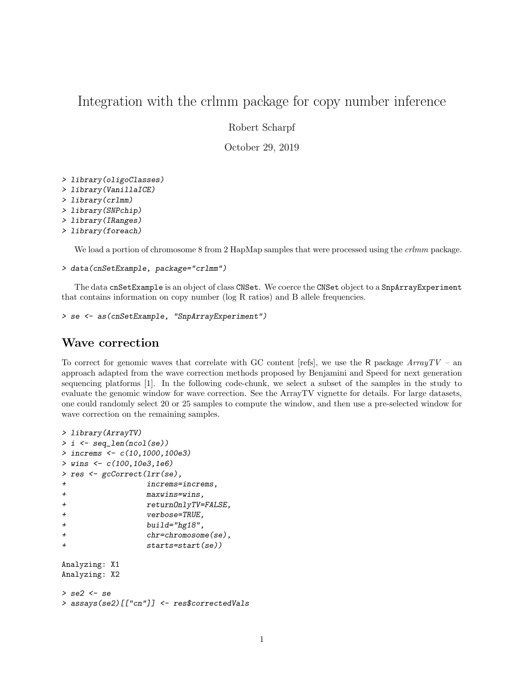# Integration with the crlmm package for copy number inference

Robert Scharpf

October 29, 2019

```
> library(oligoClasses)
```
- > library(VanillaICE)
- > library(crlmm)
- > library(SNPchip)
- > library(IRanges)
- > library(foreach)

We load a portion of chromosome 8 from 2 HapMap samples that were processed using the *crlmm* package.

```
> data(cnSetExample, package="crlmm")
```
The data cnSetExample is an object of class CNSet. We coerce the CNSet object to a SnpArrayExperiment that contains information on copy number (log R ratios) and B allele frequencies.

```
> se <- as(cnSetExample, "SnpArrayExperiment")
```
### Wave correction

To correct for genomic waves that correlate with GC content [refs], we use the R package  $ArrayTV - an$ approach adapted from the wave correction methods proposed by Benjamini and Speed for next generation sequencing platforms [1]. In the following code-chunk, we select a subset of the samples in the study to evaluate the genomic window for wave correction. See the ArrayTV vignette for details. For large datasets, one could randomly select 20 or 25 samples to compute the window, and then use a pre-selected window for wave correction on the remaining samples.

```
> library(ArrayTV)
> i <- seq_len(ncol(se))
> increms <- c(10,1000,100e3)
> wins <- c(100,10e3,1e6)
> res <- gcCorrect(lrr(se),
+ increms=increms,
+ maxwins=wins,
+ returnOnlyTV=FALSE,
+ verbose=TRUE,
+ build="hg18",
+ chr=chromosome(se),
+ starts=start(se))
Analyzing: X1
Analyzing: X2
> se2 <- se
> assays(se2)[["cn"]] <- res$correctedVals
```